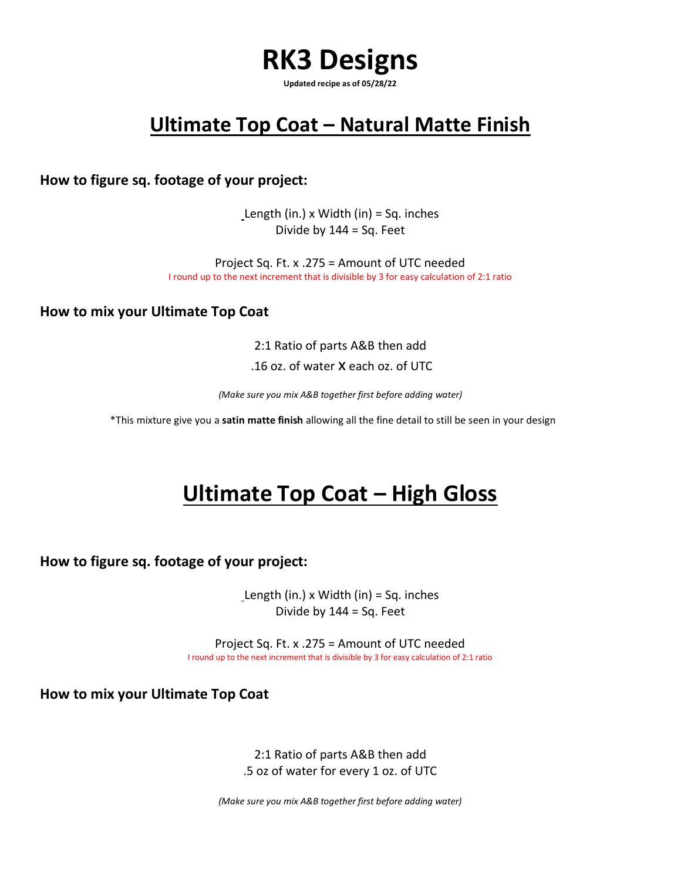## **RK3 Designs**

**Updated recipe as of 05/28/22**

## **Ultimate Top Coat – Natural Matte Finish**

**How to figure sq. footage of your project:**

Length (in.)  $x$  Width (in) = Sq. inches Divide by  $144 = Sq. Feet$ 

Project Sq. Ft. x .275 = Amount of UTC needed I round up to the next increment that is divisible by 3 for easy calculation of 2:1 ratio

**How to mix your Ultimate Top Coat**

2:1 Ratio of parts A&B then add .16 oz. of water x each oz. of UTC

*(Make sure you mix A&B together first before adding water)*

\*This mixture give you a **satin matte finish** allowing all the fine detail to still be seen in your design

## **Ultimate Top Coat - High Gloss**

**How to figure sq. footage of your project:**

Length (in.) x Width (in) = Sq. inches Divide by 144 = Sq. Feet

Project Sq. Ft. x .275 = Amount of UTC needed I round up to the next increment that is divisible by 3 for easy calculation of 2:1 ratio

**How to mix your Ultimate Top Coat**

2:1 Ratio of parts A&B then add .5 oz of water for every 1 oz. of UTC

*(Make sure you mix A&B together first before adding water)*